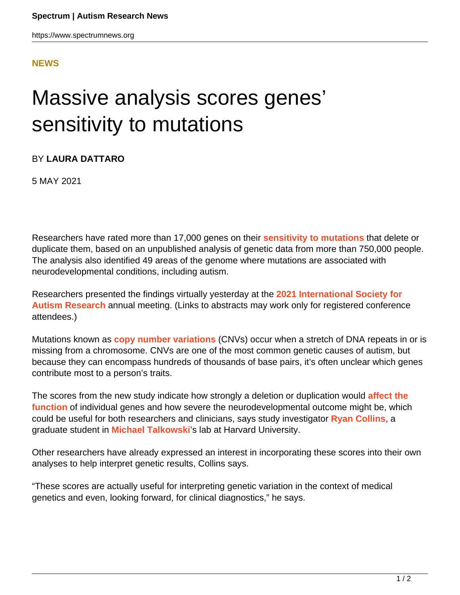## **[NEWS](HTTPS://WWW.SPECTRUMNEWS.ORG/NEWS/)**

## Massive analysis scores genes' sensitivity to mutations

## BY **LAURA DATTARO**

5 MAY 2021

Researchers have rated more than 17,000 genes on their **[sensitivity to mutations](https://insar.confex.com/insar/2021/meetingapp.cgi/Paper/39204)** that delete or duplicate them, based on an unpublished analysis of genetic data from more than 750,000 people. The analysis also identified 49 areas of the genome where mutations are associated with neurodevelopmental conditions, including autism.

Researchers presented the findings virtually yesterday at the **[2021 International Society for](https://www.spectrumnews.org/conference-news/international-society-for-autism-research-2021/) [Autism Research](https://www.spectrumnews.org/conference-news/international-society-for-autism-research-2021/)** annual meeting. (Links to abstracts may work only for registered conference attendees.)

Mutations known as **[copy number variations](https://www.spectrumnews.org/wiki/copy-number-variation/)** (CNVs) occur when a stretch of DNA repeats in or is missing from a chromosome. CNVs are one of the most common genetic causes of autism, but because they can encompass hundreds of thousands of base pairs, it's often unclear which genes contribute most to a person's traits.

The scores from the new study indicate how strongly a deletion or duplication would **[affect the](https://www.medrxiv.org/content/10.1101/2021.01.26.21250098v1) [function](https://www.medrxiv.org/content/10.1101/2021.01.26.21250098v1)** of individual genes and how severe the neurodevelopmental outcome might be, which could be useful for both researchers and clinicians, says study investigator **[Ryan Collins](https://scholar.harvard.edu/ryanlcollins/home)**, a graduate student in **[Michael Talkowski](https://www.spectrumnews.org/author/talkowski/)**'s lab at Harvard University.

Other researchers have already expressed an interest in incorporating these scores into their own analyses to help interpret genetic results, Collins says.

"These scores are actually useful for interpreting genetic variation in the context of medical genetics and even, looking forward, for clinical diagnostics," he says.